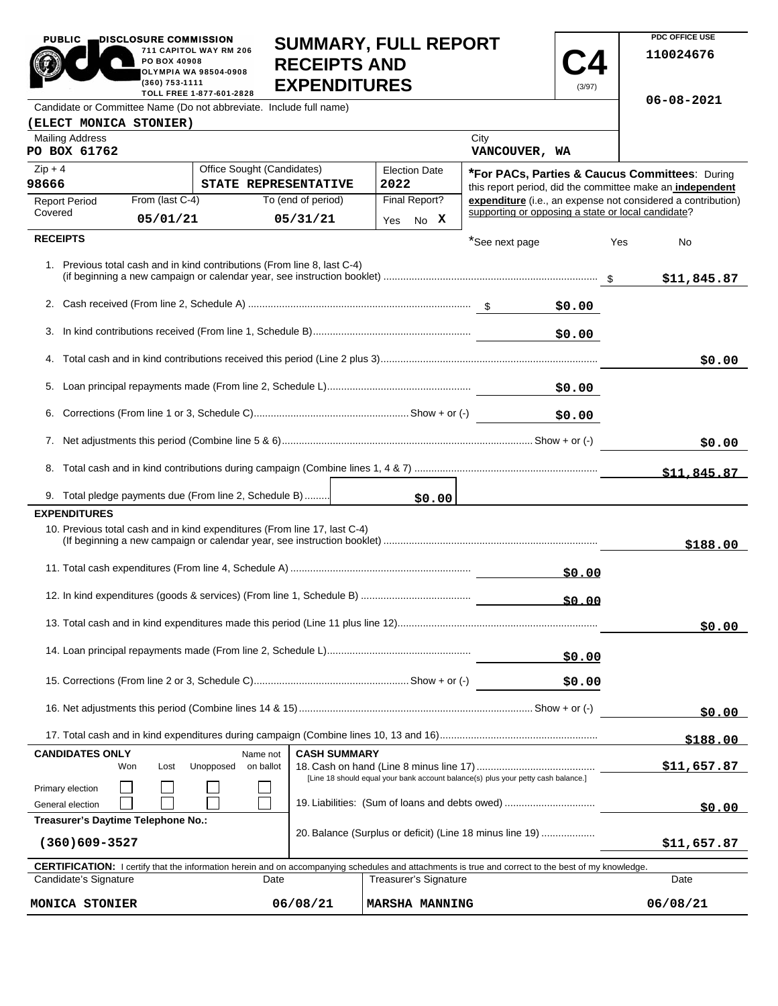| <b>PUBLIC</b>                                                                                      | DISCLOSURE COMMISSION<br>PO BOX 40908 | 711 CAPITOL WAY RM 206       | <b>RECEIPTS AND</b>                                                       | <b>SUMMARY, FULL REPORT</b>                                                                                                                                                                |                                                    |                  | PDC OFFICE USE<br>110024676                                                                                               |
|----------------------------------------------------------------------------------------------------|---------------------------------------|------------------------------|---------------------------------------------------------------------------|--------------------------------------------------------------------------------------------------------------------------------------------------------------------------------------------|----------------------------------------------------|------------------|---------------------------------------------------------------------------------------------------------------------------|
|                                                                                                    | (360) 753-1111                        | <b>OLYMPIA WA 98504-0908</b> | <b>EXPENDITURES</b>                                                       |                                                                                                                                                                                            |                                                    | (3/97)           |                                                                                                                           |
| TOLL FREE 1-877-601-2828<br>Candidate or Committee Name (Do not abbreviate. Include full name)     |                                       |                              |                                                                           |                                                                                                                                                                                            |                                                    | $06 - 08 - 2021$ |                                                                                                                           |
| (ELECT MONICA STONIER)                                                                             |                                       |                              |                                                                           |                                                                                                                                                                                            |                                                    |                  |                                                                                                                           |
| <b>Mailing Address</b><br>PO BOX 61762                                                             |                                       |                              |                                                                           |                                                                                                                                                                                            | City<br>VANCOUVER, WA                              |                  |                                                                                                                           |
| $Zip + 4$                                                                                          |                                       | Office Sought (Candidates)   |                                                                           | <b>Election Date</b>                                                                                                                                                                       |                                                    |                  | *For PACs, Parties & Caucus Committees: During                                                                            |
| 98666                                                                                              | From (last C-4)                       |                              | STATE REPRESENTATIVE<br>To (end of period)                                | 2022<br>Final Report?                                                                                                                                                                      |                                                    |                  | this report period, did the committee make an independent<br>expenditure (i.e., an expense not considered a contribution) |
| <b>Report Period</b><br>Covered                                                                    | 05/01/21                              |                              | 05/31/21                                                                  | Yes No X                                                                                                                                                                                   | supporting or opposing a state or local candidate? |                  |                                                                                                                           |
| <b>RECEIPTS</b>                                                                                    |                                       |                              |                                                                           |                                                                                                                                                                                            |                                                    |                  |                                                                                                                           |
|                                                                                                    |                                       |                              | 1. Previous total cash and in kind contributions (From line 8, last C-4)  |                                                                                                                                                                                            | *See next page                                     |                  | Yes<br>No<br>\$11,845.87                                                                                                  |
|                                                                                                    |                                       |                              |                                                                           |                                                                                                                                                                                            |                                                    | \$0.00           |                                                                                                                           |
|                                                                                                    |                                       |                              |                                                                           |                                                                                                                                                                                            |                                                    | \$0.00           |                                                                                                                           |
|                                                                                                    |                                       |                              |                                                                           |                                                                                                                                                                                            |                                                    |                  | \$0.00                                                                                                                    |
|                                                                                                    |                                       |                              |                                                                           |                                                                                                                                                                                            |                                                    | \$0.00           |                                                                                                                           |
|                                                                                                    |                                       |                              |                                                                           |                                                                                                                                                                                            |                                                    | \$0.00           |                                                                                                                           |
|                                                                                                    |                                       |                              |                                                                           |                                                                                                                                                                                            |                                                    |                  | \$0.00                                                                                                                    |
|                                                                                                    |                                       |                              |                                                                           |                                                                                                                                                                                            |                                                    |                  | \$11,845.87                                                                                                               |
| 9. Total pledge payments due (From line 2, Schedule B)                                             |                                       |                              |                                                                           | \$0.00                                                                                                                                                                                     |                                                    |                  |                                                                                                                           |
| <b>EXPENDITURES</b>                                                                                |                                       |                              | 10. Previous total cash and in kind expenditures (From line 17, last C-4) |                                                                                                                                                                                            |                                                    |                  | \$188.00                                                                                                                  |
|                                                                                                    |                                       |                              |                                                                           |                                                                                                                                                                                            |                                                    | \$0.00           |                                                                                                                           |
|                                                                                                    |                                       |                              |                                                                           |                                                                                                                                                                                            |                                                    | \$0.00           |                                                                                                                           |
|                                                                                                    |                                       |                              |                                                                           |                                                                                                                                                                                            |                                                    |                  | \$0.00                                                                                                                    |
|                                                                                                    |                                       |                              |                                                                           |                                                                                                                                                                                            |                                                    | \$0.00           |                                                                                                                           |
|                                                                                                    |                                       |                              |                                                                           |                                                                                                                                                                                            |                                                    | \$0.00           |                                                                                                                           |
|                                                                                                    |                                       |                              |                                                                           |                                                                                                                                                                                            |                                                    |                  | \$0.00                                                                                                                    |
|                                                                                                    |                                       |                              |                                                                           |                                                                                                                                                                                            |                                                    |                  | \$188.00                                                                                                                  |
| <b>CASH SUMMARY</b><br><b>CANDIDATES ONLY</b><br>Name not<br>Unopposed<br>on ballot<br>Won<br>Lost |                                       |                              |                                                                           |                                                                                                                                                                                            | \$11,657.87                                        |                  |                                                                                                                           |
| Primary election                                                                                   |                                       |                              |                                                                           | [Line 18 should equal your bank account balance(s) plus your petty cash balance.]                                                                                                          |                                                    |                  |                                                                                                                           |
| General election                                                                                   |                                       |                              |                                                                           | 19. Liabilities: (Sum of loans and debts owed)                                                                                                                                             |                                                    |                  | \$0.00                                                                                                                    |
| Treasurer's Daytime Telephone No.:<br>$(360)609 - 3527$                                            |                                       |                              |                                                                           | 20. Balance (Surplus or deficit) (Line 18 minus line 19)                                                                                                                                   | \$11,657.87                                        |                  |                                                                                                                           |
|                                                                                                    |                                       |                              |                                                                           |                                                                                                                                                                                            |                                                    |                  |                                                                                                                           |
| Candidate's Signature                                                                              |                                       |                              | Date                                                                      | <b>CERTIFICATION:</b> I certify that the information herein and on accompanying schedules and attachments is true and correct to the best of my knowledge.<br><b>Treasurer's Signature</b> |                                                    |                  | Date                                                                                                                      |

**MONICA STONIER 06/08/21 MARSHA MANNING 06/08/21**

**PDC OFFICE USE** 

 $06/08/21$